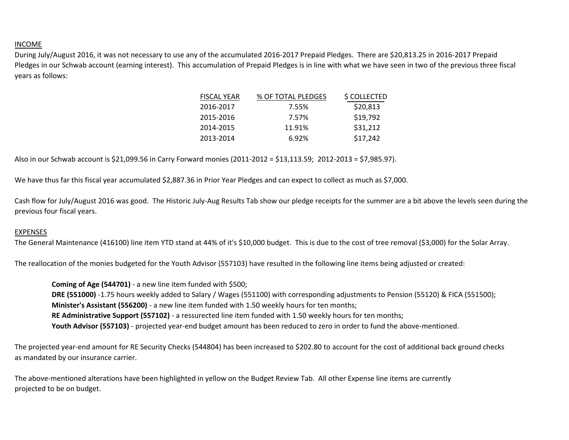## INCOME

During July/August 2016, it was not necessary to use any of the accumulated 2016-2017 Prepaid Pledges. There are \$20,813.25 in 2016-2017 Prepaid Pledges in our Schwab account (earning interest). This accumulation of Prepaid Pledges is in line with what we have seen in two of the previous three fiscal years as follows:

| <b>FISCAL YEAR</b> | % OF TOTAL PLEDGES | \$ COLLECTED |
|--------------------|--------------------|--------------|
| 2016-2017          | 7.55%              | \$20,813     |
| 2015-2016          | 7.57%              | \$19,792     |
| 2014-2015          | 11.91%             | \$31,212     |
| 2013-2014          | 6.92%              | \$17,242     |
|                    |                    |              |

Also in our Schwab account is \$21,099.56 in Carry Forward monies (2011-2012 = \$13,113.59; 2012-2013 = \$7,985.97).

We have thus far this fiscal year accumulated \$2,887.36 in Prior Year Pledges and can expect to collect as much as \$7,000.

Cash flow for July/August 2016 was good. The Historic July-Aug Results Tab show our pledge receipts for the summer are a bit above the levels seen during the previous four fiscal years.

## EXPENSES

The General Maintenance (416100) line item YTD stand at 44% of it's \$10,000 budget. This is due to the cost of tree removal (\$3,000) for the Solar Array.

The reallocation of the monies budgeted for the Youth Advisor (557103) have resulted in the following line items being adjusted or created:

**Coming of Age (544701)** - a new line item funded with \$500; **DRE (551000)** -1.75 hours weekly added to Salary / Wages (551100) with corresponding adjustments to Pension (55120) & FICA (551500); **Minister's Assistant (556200)** - a new line item funded with 1.50 weekly hours for ten months; **RE Administrative Support (557102)** - a ressurected line item funded with 1.50 weekly hours for ten months; **Youth Advisor (557103)** - projected year-end budget amount has been reduced to zero in order to fund the above-mentioned.

The projected year-end amount for RE Security Checks (544804) has been increased to \$202.80 to account for the cost of additional back ground checks as mandated by our insurance carrier.

The above-mentioned alterations have been highlighted in yellow on the Budget Review Tab. All other Expense line items are currently projected to be on budget.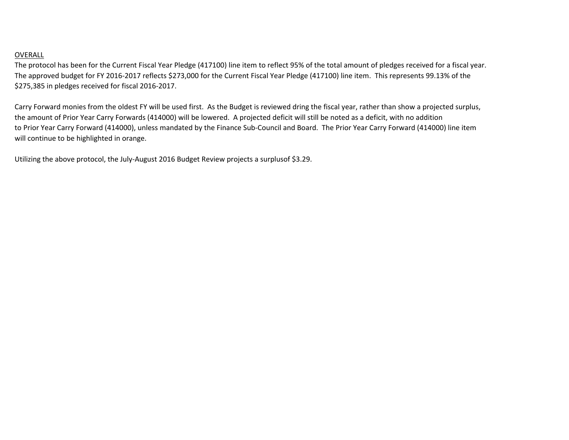## OVERALL

The protocol has been for the Current Fiscal Year Pledge (417100) line item to reflect 95% of the total amount of pledges received for a fiscal year. The approved budget for FY 2016-2017 reflects \$273,000 for the Current Fiscal Year Pledge (417100) line item. This represents 99.13% of the \$275,385 in pledges received for fiscal 2016-2017.

Carry Forward monies from the oldest FY will be used first. As the Budget is reviewed dring the fiscal year, rather than show a projected surplus, the amount of Prior Year Carry Forwards (414000) will be lowered. A projected deficit will still be noted as a deficit, with no addition to Prior Year Carry Forward (414000), unless mandated by the Finance Sub-Council and Board. The Prior Year Carry Forward (414000) line item will continue to be highlighted in orange.

Utilizing the above protocol, the July-August 2016 Budget Review projects a surplusof \$3.29.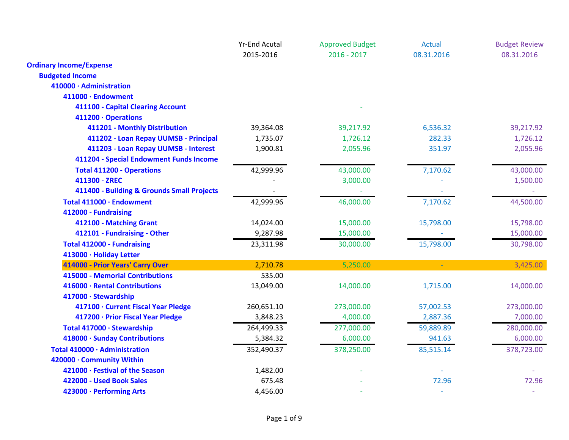|                                            | <b>Yr-End Acutal</b> | <b>Approved Budget</b> | Actual     | <b>Budget Review</b> |
|--------------------------------------------|----------------------|------------------------|------------|----------------------|
|                                            | 2015-2016            | $2016 - 2017$          | 08.31.2016 | 08.31.2016           |
| <b>Ordinary Income/Expense</b>             |                      |                        |            |                      |
| <b>Budgeted Income</b>                     |                      |                        |            |                      |
| 410000 · Administration                    |                      |                        |            |                      |
| 411000 · Endowment                         |                      |                        |            |                      |
| 411100 - Capital Clearing Account          |                      |                        |            |                      |
| 411200 · Operations                        |                      |                        |            |                      |
| 411201 - Monthly Distribution              | 39,364.08            | 39,217.92              | 6,536.32   | 39,217.92            |
| 411202 - Loan Repay UUMSB - Principal      | 1,735.07             | 1,726.12               | 282.33     | 1,726.12             |
| 411203 - Loan Repay UUMSB - Interest       | 1,900.81             | 2,055.96               | 351.97     | 2,055.96             |
| 411204 - Special Endowment Funds Income    |                      |                        |            |                      |
| <b>Total 411200 - Operations</b>           | 42,999.96            | 43,000.00              | 7,170.62   | 43,000.00            |
| 411300 - ZREC                              |                      | 3,000.00               |            | 1,500.00             |
| 411400 - Building & Grounds Small Projects |                      |                        |            |                      |
| Total 411000 · Endowment                   | 42,999.96            | 46,000.00              | 7,170.62   | 44,500.00            |
| 412000 - Fundraising                       |                      |                        |            |                      |
| 412100 - Matching Grant                    | 14,024.00            | 15,000.00              | 15,798.00  | 15,798.00            |
| 412101 - Fundraising - Other               | 9,287.98             | 15,000.00              |            | 15,000.00            |
| <b>Total 412000 - Fundraising</b>          | 23,311.98            | 30,000.00              | 15,798.00  | 30,798.00            |
| 413000 · Holiday Letter                    |                      |                        |            |                      |
| 414000 - Prior Years' Carry Over           | 2,710.78             | 5,250.00               | $\omega$   | 3,425.00             |
| 415000 - Memorial Contributions            | 535.00               |                        |            |                      |
| 416000 · Rental Contributions              | 13,049.00            | 14,000.00              | 1,715.00   | 14,000.00            |
| 417000 · Stewardship                       |                      |                        |            |                      |
| 417100 · Current Fiscal Year Pledge        | 260,651.10           | 273,000.00             | 57,002.53  | 273,000.00           |
| 417200 · Prior Fiscal Year Pledge          | 3,848.23             | 4,000.00               | 2,887.36   | 7,000.00             |
| Total 417000 · Stewardship                 | 264,499.33           | 277,000.00             | 59,889.89  | 280,000.00           |
| 418000 · Sunday Contributions              | 5,384.32             | 6,000.00               | 941.63     | 6,000.00             |
| Total 410000 · Administration              | 352,490.37           | 378,250.00             | 85,515.14  | 378,723.00           |
| 420000 · Community Within                  |                      |                        |            |                      |
| 421000 · Festival of the Season            | 1,482.00             |                        |            |                      |
| 422000 - Used Book Sales                   | 675.48               |                        | 72.96      | 72.96                |
| 423000 · Performing Arts                   | 4,456.00             |                        |            |                      |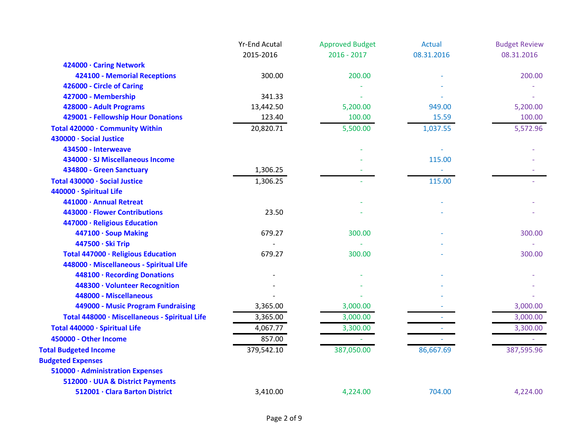|                                               | <b>Yr-End Acutal</b> | <b>Approved Budget</b> | <b>Actual</b>            | <b>Budget Review</b> |
|-----------------------------------------------|----------------------|------------------------|--------------------------|----------------------|
|                                               | 2015-2016            | $2016 - 2017$          | 08.31.2016               | 08.31.2016           |
| 424000 · Caring Network                       |                      |                        |                          |                      |
| 424100 - Memorial Receptions                  | 300.00               | 200.00                 |                          | 200.00               |
| 426000 - Circle of Caring                     |                      |                        |                          |                      |
| 427000 - Membership                           | 341.33               |                        |                          |                      |
| 428000 - Adult Programs                       | 13,442.50            | 5,200.00               | 949.00                   | 5,200.00             |
| 429001 - Fellowship Hour Donations            | 123.40               | 100.00                 | 15.59                    | 100.00               |
| Total 420000 · Community Within               | 20,820.71            | 5,500.00               | 1,037.55                 | 5,572.96             |
| 430000 · Social Justice                       |                      |                        |                          |                      |
| 434500 - Interweave                           |                      |                        |                          |                      |
| 434000 · SJ Miscellaneous Income              |                      |                        | 115.00                   |                      |
| 434800 - Green Sanctuary                      | 1,306.25             |                        | $\overline{\phantom{a}}$ |                      |
| Total 430000 · Social Justice                 | 1,306.25             |                        | 115.00                   |                      |
| 440000 · Spiritual Life                       |                      |                        |                          |                      |
| 441000 · Annual Retreat                       |                      |                        |                          |                      |
| 443000 · Flower Contributions                 | 23.50                |                        |                          |                      |
| 447000 · Religious Education                  |                      |                        |                          |                      |
| 447100 · Soup Making                          | 679.27               | 300.00                 |                          | 300.00               |
| 447500 · Ski Trip                             |                      |                        |                          |                      |
| Total 447000 · Religious Education            | 679.27               | 300.00                 |                          | 300.00               |
| 448000 · Miscellaneous - Spiritual Life       |                      |                        |                          |                      |
| 448100 · Recording Donations                  |                      |                        |                          |                      |
| 448300 · Volunteer Recognition                |                      |                        |                          |                      |
| 448000 - Miscellaneous                        |                      |                        |                          |                      |
| 449000 - Music Program Fundraising            | 3,365.00             | 3,000.00               |                          | 3,000.00             |
| Total 448000 · Miscellaneous - Spiritual Life | 3,365.00             | 3,000.00               |                          | 3,000.00             |
| Total 440000 · Spiritual Life                 | 4,067.77             | 3,300.00               |                          | 3,300.00             |
| 450000 - Other Income                         | 857.00               |                        |                          |                      |
| <b>Total Budgeted Income</b>                  | 379,542.10           | 387,050.00             | 86,667.69                | 387,595.96           |
| <b>Budgeted Expenses</b>                      |                      |                        |                          |                      |
| 510000 · Administration Expenses              |                      |                        |                          |                      |
| 512000 · UUA & District Payments              |                      |                        |                          |                      |
| 512001 · Clara Barton District                | 3,410.00             | 4,224.00               | 704.00                   | 4,224.00             |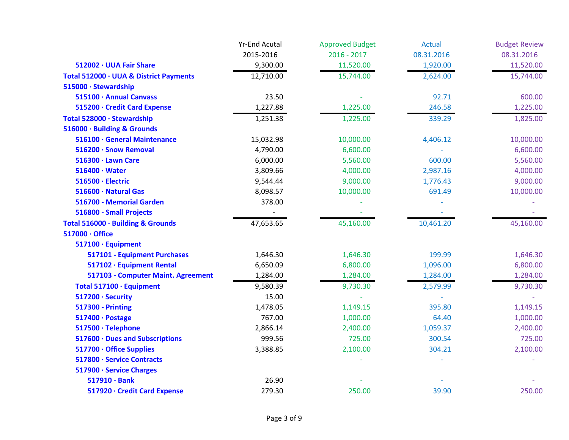|                                        | <b>Yr-End Acutal</b> | <b>Approved Budget</b> | <b>Actual</b> | <b>Budget Review</b> |
|----------------------------------------|----------------------|------------------------|---------------|----------------------|
|                                        | 2015-2016            | $2016 - 2017$          | 08.31.2016    | 08.31.2016           |
| 512002 · UUA Fair Share                | 9,300.00             | 11,520.00              | 1,920.00      | 11,520.00            |
| Total 512000 · UUA & District Payments | 12,710.00            | 15,744.00              | 2,624.00      | 15,744.00            |
| 515000 · Stewardship                   |                      |                        |               |                      |
| 515100 · Annual Canvass                | 23.50                |                        | 92.71         | 600.00               |
| 515200 · Credit Card Expense           | 1,227.88             | 1,225.00               | 246.58        | 1,225.00             |
| Total 528000 · Stewardship             | 1,251.38             | 1,225.00               | 339.29        | 1,825.00             |
| 516000 · Building & Grounds            |                      |                        |               |                      |
| 516100 · General Maintenance           | 15,032.98            | 10,000.00              | 4,406.12      | 10,000.00            |
| 516200 · Snow Removal                  | 4,790.00             | 6,600.00               |               | 6,600.00             |
| 516300 · Lawn Care                     | 6,000.00             | 5,560.00               | 600.00        | 5,560.00             |
| $516400 \cdot Water$                   | 3,809.66             | 4,000.00               | 2,987.16      | 4,000.00             |
| 516500 · Electric                      | 9,544.44             | 9,000.00               | 1,776.43      | 9,000.00             |
| 516600 · Natural Gas                   | 8,098.57             | 10,000.00              | 691.49        | 10,000.00            |
| 516700 - Memorial Garden               | 378.00               |                        |               |                      |
| 516800 - Small Projects                |                      |                        |               |                      |
| Total 516000 · Building & Grounds      | 47,653.65            | 45,160.00              | 10,461.20     | 45,160.00            |
| 517000 · Office                        |                      |                        |               |                      |
| 517100 · Equipment                     |                      |                        |               |                      |
| 517101 - Equipment Purchases           | 1,646.30             | 1,646.30               | 199.99        | 1,646.30             |
| 517102 · Equipment Rental              | 6,650.09             | 6,800.00               | 1,096.00      | 6,800.00             |
| 517103 - Computer Maint. Agreement     | 1,284.00             | 1,284.00               | 1,284.00      | 1,284.00             |
| Total 517100 · Equipment               | 9,580.39             | 9,730.30               | 2,579.99      | 9,730.30             |
| 517200 · Security                      | 15.00                |                        |               |                      |
| <b>517300 - Printing</b>               | 1,478.05             | 1,149.15               | 395.80        | 1,149.15             |
| 517400 · Postage                       | 767.00               | 1,000.00               | 64.40         | 1,000.00             |
| 517500 · Telephone                     | 2,866.14             | 2,400.00               | 1,059.37      | 2,400.00             |
| 517600 · Dues and Subscriptions        | 999.56               | 725.00                 | 300.54        | 725.00               |
| 517700 · Office Supplies               | 3,388.85             | 2,100.00               | 304.21        | 2,100.00             |
| 517800 · Service Contracts             |                      |                        |               |                      |
| 517900 · Service Charges               |                      |                        |               |                      |
| 517910 - Bank                          | 26.90                |                        |               |                      |
| 517920 · Credit Card Expense           | 279.30               | 250.00                 | 39.90         | 250.00               |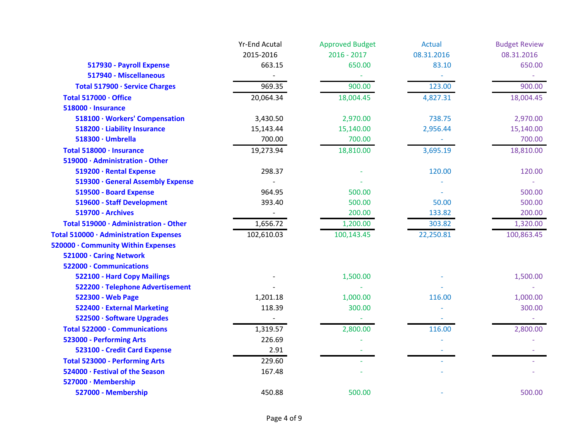|                                        | <b>Yr-End Acutal</b> | <b>Approved Budget</b> | <b>Actual</b> | <b>Budget Review</b> |
|----------------------------------------|----------------------|------------------------|---------------|----------------------|
|                                        | 2015-2016            | $2016 - 2017$          | 08.31.2016    | 08.31.2016           |
| 517930 - Payroll Expense               | 663.15               | 650.00                 | 83.10         | 650.00               |
| 517940 - Miscellaneous                 |                      |                        |               |                      |
| Total 517900 · Service Charges         | 969.35               | 900.00                 | 123.00        | 900.00               |
| Total 517000 · Office                  | 20,064.34            | 18,004.45              | 4,827.31      | 18,004.45            |
| 518000 · Insurance                     |                      |                        |               |                      |
| 518100 · Workers' Compensation         | 3,430.50             | 2,970.00               | 738.75        | 2,970.00             |
| 518200 · Liability Insurance           | 15,143.44            | 15,140.00              | 2,956.44      | 15,140.00            |
| 518300 · Umbrella                      | 700.00               | 700.00                 |               | 700.00               |
| Total 518000 · Insurance               | 19,273.94            | 18,810.00              | 3,695.19      | 18,810.00            |
| 519000 · Administration - Other        |                      |                        |               |                      |
| 519200 · Rental Expense                | 298.37               |                        | 120.00        | 120.00               |
| 519300 · General Assembly Expense      |                      |                        |               |                      |
| 519500 - Board Expense                 | 964.95               | 500.00                 |               | 500.00               |
| 519600 - Staff Development             | 393.40               | 500.00                 | 50.00         | 500.00               |
| <b>519700 - Archives</b>               |                      | 200.00                 | 133.82        | 200.00               |
| Total 519000 · Administration - Other  | 1,656.72             | 1,200.00               | 303.82        | 1,320.00             |
| Total 510000 · Administration Expenses | 102,610.03           | 100,143.45             | 22,250.81     | 100,863.45           |
| 520000 · Community Within Expenses     |                      |                        |               |                      |
| 521000 · Caring Network                |                      |                        |               |                      |
| 522000 · Communications                |                      |                        |               |                      |
| 522100 - Hard Copy Mailings            |                      | 1,500.00               |               | 1,500.00             |
| 522200 · Telephone Advertisement       |                      |                        |               |                      |
| 522300 - Web Page                      | 1,201.18             | 1,000.00               | 116.00        | 1,000.00             |
| 522400 · External Marketing            | 118.39               | 300.00                 |               | 300.00               |
| 522500 · Software Upgrades             |                      |                        |               |                      |
| Total 522000 · Communications          | 1,319.57             | 2,800.00               | 116.00        | 2,800.00             |
| 523000 - Performing Arts               | 226.69               |                        |               |                      |
| 523100 - Credit Card Expense           | 2.91                 |                        |               |                      |
| <b>Total 523000 - Performing Arts</b>  | 229.60               |                        |               |                      |
| 524000 · Festival of the Season        | 167.48               |                        |               |                      |
| 527000 · Membership                    |                      |                        |               |                      |
| 527000 - Membership                    | 450.88               | 500.00                 |               | 500.00               |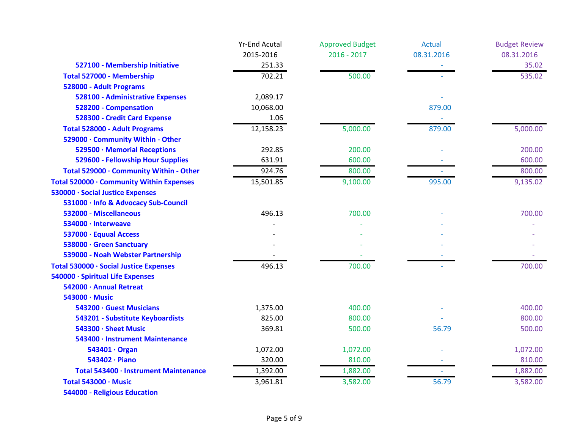|                                          | <b>Yr-End Acutal</b> | <b>Approved Budget</b> | <b>Actual</b> | <b>Budget Review</b> |
|------------------------------------------|----------------------|------------------------|---------------|----------------------|
|                                          | 2015-2016            | $2016 - 2017$          | 08.31.2016    | 08.31.2016           |
| 527100 - Membership Initiative           | 251.33               |                        |               | 35.02                |
| Total 527000 - Membership                | 702.21               | 500.00                 |               | 535.02               |
| 528000 - Adult Programs                  |                      |                        |               |                      |
| <b>528100 - Administrative Expenses</b>  | 2,089.17             |                        |               |                      |
| 528200 - Compensation                    | 10,068.00            |                        | 879.00        |                      |
| 528300 - Credit Card Expense             | 1.06                 |                        |               |                      |
| <b>Total 528000 - Adult Programs</b>     | 12,158.23            | 5,000.00               | 879.00        | 5,000.00             |
| 529000 · Community Within - Other        |                      |                        |               |                      |
| 529500 · Memorial Receptions             | 292.85               | 200.00                 |               | 200.00               |
| 529600 - Fellowship Hour Supplies        | 631.91               | 600.00                 |               | 600.00               |
| Total 529000 · Community Within - Other  | 924.76               | 800.00                 |               | 800.00               |
| Total 520000 · Community Within Expenses | 15,501.85            | 9,100.00               | 995.00        | 9,135.02             |
| 530000 · Social Justice Expenses         |                      |                        |               |                      |
| 531000 · Info & Advocacy Sub-Council     |                      |                        |               |                      |
| 532000 - Miscellaneous                   | 496.13               | 700.00                 |               | 700.00               |
| 534000 · Interweave                      |                      |                        |               |                      |
| 537000 · Equual Access                   |                      |                        |               |                      |
| 538000 · Green Sanctuary                 |                      |                        |               |                      |
| 539000 - Noah Webster Partnership        |                      |                        |               |                      |
| Total 530000 · Social Justice Expenses   | 496.13               | 700.00                 |               | 700.00               |
| 540000 · Spiritual Life Expenses         |                      |                        |               |                      |
| 542000 · Annual Retreat                  |                      |                        |               |                      |
| 543000 · Music                           |                      |                        |               |                      |
| 543200 · Guest Musicians                 | 1,375.00             | 400.00                 |               | 400.00               |
| 543201 - Substitute Keyboardists         | 825.00               | 800.00                 |               | 800.00               |
| 543300 · Sheet Music                     | 369.81               | 500.00                 | 56.79         | 500.00               |
| 543400 · Instrument Maintenance          |                      |                        |               |                      |
| 543401 · Organ                           | 1,072.00             | 1,072.00               |               | 1,072.00             |
| 543402 · Piano                           | 320.00               | 810.00                 |               | 810.00               |
| Total 543400 · Instrument Maintenance    | 1,392.00             | 1,882.00               |               | 1,882.00             |
| Total 543000 · Music                     | 3,961.81             | 3,582.00               | 56.79         | 3,582.00             |
| <b>544000 - Religious Education</b>      |                      |                        |               |                      |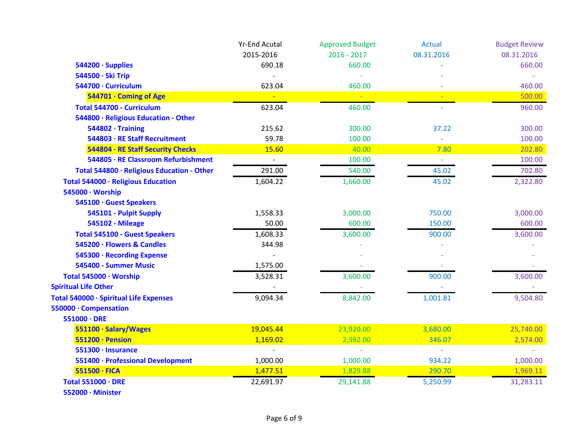|                                            | <b>Yr-End Acutal</b>     | <b>Approved Budget</b> | <b>Actual</b> | <b>Budget Review</b> |
|--------------------------------------------|--------------------------|------------------------|---------------|----------------------|
|                                            | 2015-2016                | $2016 - 2017$          | 08.31.2016    | 08.31.2016           |
| 544200 · Supplies                          | 690.18                   | 660.00                 |               | 660.00               |
| 544500 · Ski Trip                          |                          |                        |               |                      |
| 544700 · Curriculum                        | 623.04                   | 460.00                 |               | 460.00               |
| 544701 · Coming of Age                     |                          |                        |               | 500.00               |
| Total 544700 - Curriculum                  | 623.04                   | 460.00                 |               | 960.00               |
| 544800 · Religious Education - Other       |                          |                        |               |                      |
| $544802 \cdot$ Training                    | 215.62                   | 300.00                 | 37.22         | 300.00               |
| 544803 · RE Staff Recruitment              | 59.78                    | 100.00                 |               | 100.00               |
| 544804 · RE Staff Security Checks          | 15.60                    | 40.00                  | 7.80          | 202.80               |
| 544805 · RE Classroom Refurbishment        | $\overline{\phantom{a}}$ | 100.00                 | $\rightarrow$ | 100.00               |
| Total 544800 · Religious Education - Other | 291.00                   | 540.00                 | 45.02         | 702.80               |
| Total 544000 · Religious Education         | 1,604.22                 | 1,660.00               | 45.02         | 2,322.80             |
| 545000 · Worship                           |                          |                        |               |                      |
| 545100 · Guest Speakers                    |                          |                        |               |                      |
| 545101 - Pulpit Supply                     | 1,558.33                 | 3,000.00               | 750.00        | 3,000.00             |
| <b>545102 - Mileage</b>                    | 50.00                    | 600.00                 | 150.00        | 600.00               |
| <b>Total 545100 - Guest Speakers</b>       | 1,608.33                 | 3,600.00               | 900.00        | 3,600.00             |
| 545200 · Flowers & Candles                 | 344.98                   |                        |               |                      |
| 545300 · Recording Expense                 |                          |                        |               |                      |
| 545400 - Summer Music                      | 1,575.00                 |                        |               |                      |
| Total 545000 · Worship                     | 3,528.31                 | 3,600.00               | 900.00        | 3,600.00             |
| <b>Spiritual Life Other</b>                |                          |                        |               |                      |
| Total 540000 · Spiritual Life Expenses     | 9,094.34                 | 8,842.00               | 1,001.81      | 9,504.80             |
| 550000 · Compensation                      |                          |                        |               |                      |
| $551000 \cdot DRE$                         |                          |                        |               |                      |
| 551100 · Salary/Wages                      | 19,045.44                | 23,920.00              | 3,680.00      | 25,740.00            |
| 551200 · Pension                           | 1,169.02                 | 2,392.00               | 346.07        | 2,574.00             |
| 551300 · Insurance                         |                          |                        |               |                      |
| 551400 · Professional Development          | 1,000.00                 | 1,000.00               | 934.22        | 1,000.00             |
| $551500 \cdot FICA$                        | 1,477.51                 | 1,829.88               | 290.70        | 1,969.11             |
| <b>Total 551000 · DRE</b>                  | 22,691.97                | 29,141.88              | 5,250.99      | 31,283.11            |
| 552000 · Minister                          |                          |                        |               |                      |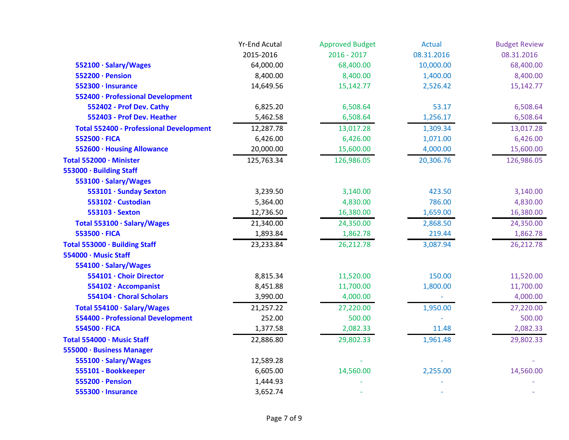|                                                | <b>Yr-End Acutal</b> | <b>Approved Budget</b> | <b>Actual</b> | <b>Budget Review</b> |
|------------------------------------------------|----------------------|------------------------|---------------|----------------------|
|                                                | 2015-2016            | $2016 - 2017$          | 08.31.2016    | 08.31.2016           |
| 552100 · Salary/Wages                          | 64,000.00            | 68,400.00              | 10,000.00     | 68,400.00            |
| 552200 · Pension                               | 8,400.00             | 8,400.00               | 1,400.00      | 8,400.00             |
| 552300 · Insurance                             | 14,649.56            | 15,142.77              | 2,526.42      | 15,142.77            |
| 552400 · Professional Development              |                      |                        |               |                      |
| 552402 - Prof Dev. Cathy                       | 6,825.20             | 6,508.64               | 53.17         | 6,508.64             |
| 552403 - Prof Dev. Heather                     | 5,462.58             | 6,508.64               | 1,256.17      | 6,508.64             |
| <b>Total 552400 - Professional Development</b> | 12,287.78            | 13,017.28              | 1,309.34      | 13,017.28            |
| 552500 · FICA                                  | 6,426.00             | 6,426.00               | 1,071.00      | 6,426.00             |
| 552600 · Housing Allowance                     | 20,000.00            | 15,600.00              | 4,000.00      | 15,600.00            |
| Total 552000 · Minister                        | 125,763.34           | 126,986.05             | 20,306.76     | 126,986.05           |
| 553000 · Building Staff                        |                      |                        |               |                      |
| 553100 · Salary/Wages                          |                      |                        |               |                      |
| 553101 · Sunday Sexton                         | 3,239.50             | 3,140.00               | 423.50        | 3,140.00             |
| 553102 · Custodian                             | 5,364.00             | 4,830.00               | 786.00        | 4,830.00             |
| 553103 · Sexton                                | 12,736.50            | 16,380.00              | 1,659.00      | 16,380.00            |
| Total 553100 · Salary/Wages                    | 21,340.00            | 24,350.00              | 2,868.50      | 24,350.00            |
| 553500 · FICA                                  | 1,893.84             | 1,862.78               | 219.44        | 1,862.78             |
| Total 553000 · Building Staff                  | 23,233.84            | 26,212.78              | 3,087.94      | 26,212.78            |
| 554000 · Music Staff                           |                      |                        |               |                      |
| 554100 · Salary/Wages                          |                      |                        |               |                      |
| 554101 · Choir Director                        | 8,815.34             | 11,520.00              | 150.00        | 11,520.00            |
| 554102 · Accompanist                           | 8,451.88             | 11,700.00              | 1,800.00      | 11,700.00            |
| 554104 · Choral Scholars                       | 3,990.00             | 4,000.00               |               | 4,000.00             |
| Total 554100 · Salary/Wages                    | 21,257.22            | 27,220.00              | 1,950.00      | 27,220.00            |
| 554400 - Professional Development              | 252.00               | 500.00                 |               | 500.00               |
| 554500 · FICA                                  | 1,377.58             | 2,082.33               | 11.48         | 2,082.33             |
| Total 554000 · Music Staff                     | 22,886.80            | 29,802.33              | 1,961.48      | 29,802.33            |
| 555000 · Business Manager                      |                      |                        |               |                      |
| 555100 · Salary/Wages                          | 12,589.28            |                        |               |                      |
| 555101 - Bookkeeper                            | 6,605.00             | 14,560.00              | 2,255.00      | 14,560.00            |
| 555200 · Pension                               | 1,444.93             |                        |               |                      |
| 555300 · Insurance                             | 3,652.74             |                        |               |                      |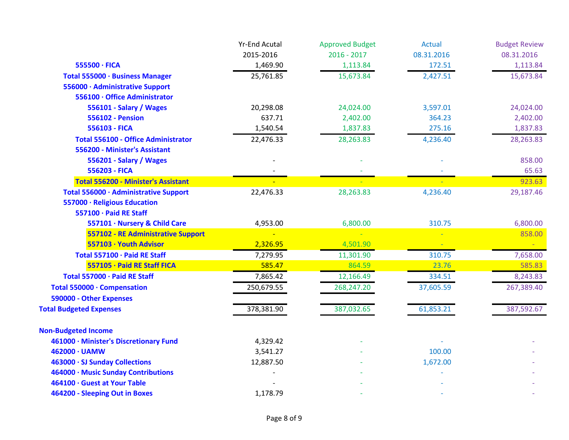|                                            | <b>Yr-End Acutal</b> | <b>Approved Budget</b> | <b>Actual</b> | <b>Budget Review</b> |
|--------------------------------------------|----------------------|------------------------|---------------|----------------------|
|                                            | 2015-2016            | $2016 - 2017$          | 08.31.2016    | 08.31.2016           |
| 555500 · FICA                              | 1,469.90             | 1,113.84               | 172.51        | 1,113.84             |
| Total 555000 · Business Manager            | 25,761.85            | 15,673.84              | 2,427.51      | 15,673.84            |
| 556000 · Administrative Support            |                      |                        |               |                      |
| 556100 · Office Administrator              |                      |                        |               |                      |
| 556101 - Salary / Wages                    | 20,298.08            | 24,024.00              | 3,597.01      | 24,024.00            |
| <b>556102 - Pension</b>                    | 637.71               | 2,402.00               | 364.23        | 2,402.00             |
| 556103 - FICA                              | 1,540.54             | 1,837.83               | 275.16        | 1,837.83             |
| <b>Total 556100 - Office Administrator</b> | 22,476.33            | 28,263.83              | 4,236.40      | 28,263.83            |
| 556200 - Minister's Assistant              |                      |                        |               |                      |
| 556201 - Salary / Wages                    |                      |                        |               | 858.00               |
| 556203 - FICA                              |                      |                        |               | 65.63                |
| <b>Total 556200 - Minister's Assistant</b> |                      |                        |               | 923.63               |
| Total 556000 · Administrative Support      | 22,476.33            | 28,263.83              | 4,236.40      | 29,187.46            |
| 557000 · Religious Education               |                      |                        |               |                      |
| 557100 · Paid RE Staff                     |                      |                        |               |                      |
| 557101 · Nursery & Child Care              | 4,953.00             | 6,800.00               | 310.75        | 6,800.00             |
| 557102 - RE Administrative Support         |                      |                        |               | 858.00               |
| 557103 · Youth Advisor                     | 2,326.95             | 4,501.90               |               |                      |
| Total 557100 · Paid RE Staff               | 7,279.95             | 11,301.90              | 310.75        | 7,658.00             |
| 557105 · Paid RE Staff FICA                | 585.47               | 864.59                 | 23.76         | 585.83               |
| Total 557000 · Paid RE Staff               | 7,865.42             | 12,166.49              | 334.51        | 8,243.83             |
| Total 550000 · Compensation                | 250,679.55           | 268,247.20             | 37,605.59     | 267,389.40           |
| 590000 - Other Expenses                    |                      |                        |               |                      |
| <b>Total Budgeted Expenses</b>             | 378,381.90           | 387,032.65             | 61,853.21     | 387,592.67           |
| <b>Non-Budgeted Income</b>                 |                      |                        |               |                      |
| 461000 · Minister's Discretionary Fund     | 4,329.42             |                        |               |                      |
| 462000 · UAMW                              | 3,541.27             |                        | 100.00        |                      |
| 463000 · SJ Sunday Collections             | 12,887.50            |                        | 1,672.00      |                      |
| 464000 · Music Sunday Contributions        |                      |                        |               |                      |
| 464100 · Guest at Your Table               |                      |                        |               |                      |
| 464200 - Sleeping Out in Boxes             | 1,178.79             |                        |               |                      |